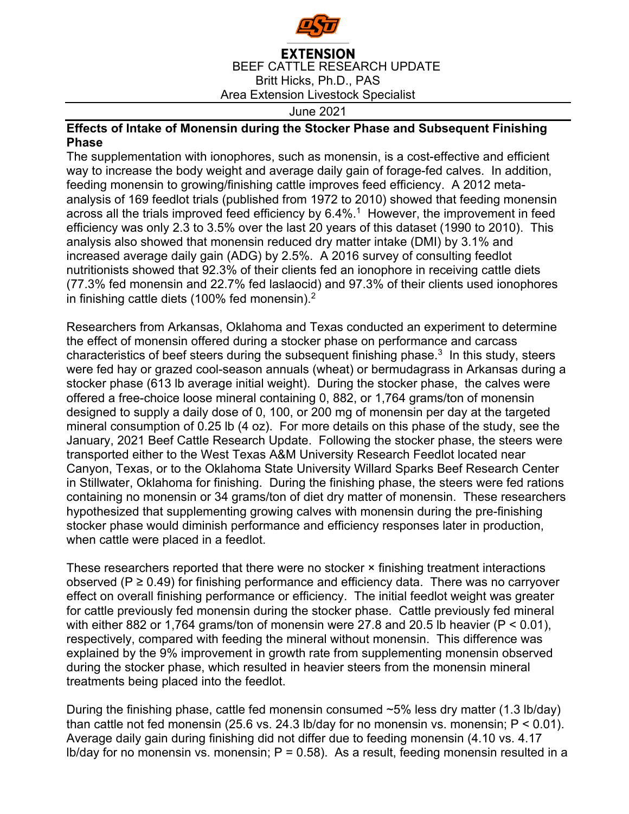

**EXTENSION** BEEF CATTLE RESEARCH UPDATE Britt Hicks, Ph.D., PAS Area Extension Livestock Specialist

June 2021

## **Effects of Intake of Monensin during the Stocker Phase and Subsequent Finishing Phase**

The supplementation with ionophores, such as monensin, is a cost-effective and efficient way to increase the body weight and average daily gain of forage-fed calves. In addition, feeding monensin to growing/finishing cattle improves feed efficiency. A 2012 metaanalysis of 169 feedlot trials (published from 1972 to 2010) showed that feeding monensin across all the trials improved feed efficiency by  $6.4\%$ .<sup>1</sup> However, the improvement in feed efficiency was only 2.3 to 3.5% over the last 20 years of this dataset (1990 to 2010). This analysis also showed that monensin reduced dry matter intake (DMI) by 3.1% and increased average daily gain (ADG) by 2.5%. A 2016 survey of consulting feedlot nutritionists showed that 92.3% of their clients fed an ionophore in receiving cattle diets (77.3% fed monensin and 22.7% fed laslaocid) and 97.3% of their clients used ionophores in finishing cattle diets (100% fed monensin). $2$ 

Researchers from Arkansas, Oklahoma and Texas conducted an experiment to determine the effect of monensin offered during a stocker phase on performance and carcass characteristics of beef steers during the subsequent finishing phase.<sup>3</sup> In this study, steers were fed hay or grazed cool-season annuals (wheat) or bermudagrass in Arkansas during a stocker phase (613 lb average initial weight). During the stocker phase, the calves were offered a free-choice loose mineral containing 0, 882, or 1,764 grams/ton of monensin designed to supply a daily dose of 0, 100, or 200 mg of monensin per day at the targeted mineral consumption of 0.25 lb (4 oz). For more details on this phase of the study, see the January, 2021 Beef Cattle Research Update. Following the stocker phase, the steers were transported either to the West Texas A&M University Research Feedlot located near Canyon, Texas, or to the Oklahoma State University Willard Sparks Beef Research Center in Stillwater, Oklahoma for finishing. During the finishing phase, the steers were fed rations containing no monensin or 34 grams/ton of diet dry matter of monensin. These researchers hypothesized that supplementing growing calves with monensin during the pre-finishing stocker phase would diminish performance and efficiency responses later in production, when cattle were placed in a feedlot.

These researchers reported that there were no stocker × finishing treatment interactions observed ( $P \ge 0.49$ ) for finishing performance and efficiency data. There was no carryover effect on overall finishing performance or efficiency. The initial feedlot weight was greater for cattle previously fed monensin during the stocker phase. Cattle previously fed mineral with either 882 or 1,764 grams/ton of monensin were 27.8 and 20.5 lb heavier ( $P < 0.01$ ), respectively, compared with feeding the mineral without monensin. This difference was explained by the 9% improvement in growth rate from supplementing monensin observed during the stocker phase, which resulted in heavier steers from the monensin mineral treatments being placed into the feedlot.

During the finishing phase, cattle fed monensin consumed  $\sim$ 5% less dry matter (1.3 lb/day) than cattle not fed monensin (25.6 vs. 24.3 lb/day for no monensin vs. monensin:  $P < 0.01$ ). Average daily gain during finishing did not differ due to feeding monensin (4.10 vs. 4.17 Ib/day for no monensin vs. monensin;  $P = 0.58$ ). As a result, feeding monensin resulted in a